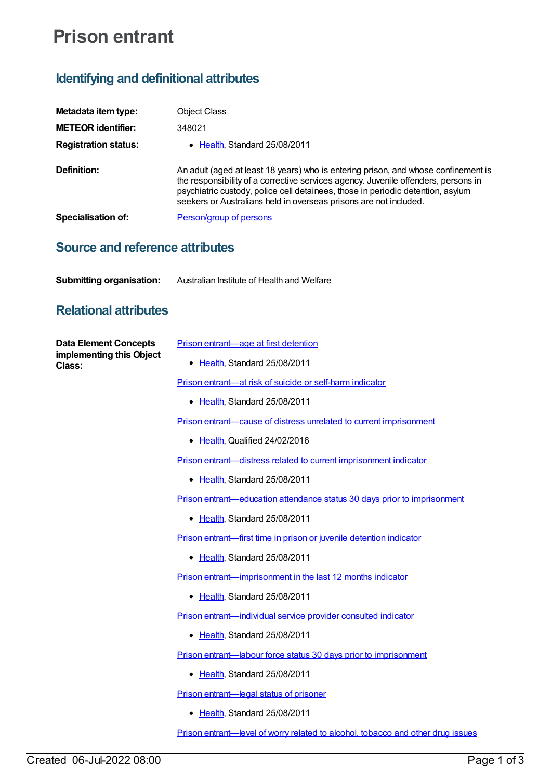## **Prison entrant**

## **Identifying and definitional attributes**

| Metadata item type:                                                | <b>Object Class</b>                                                                                                                                                                                                                                                                                                              |
|--------------------------------------------------------------------|----------------------------------------------------------------------------------------------------------------------------------------------------------------------------------------------------------------------------------------------------------------------------------------------------------------------------------|
| <b>METEOR identifier:</b>                                          | 348021                                                                                                                                                                                                                                                                                                                           |
|                                                                    |                                                                                                                                                                                                                                                                                                                                  |
| <b>Registration status:</b>                                        | • Health, Standard 25/08/2011                                                                                                                                                                                                                                                                                                    |
| Definition:                                                        | An adult (aged at least 18 years) who is entering prison, and whose confinement is<br>the responsibility of a corrective services agency. Juvenile offenders, persons in<br>psychiatric custody, police cell detainees, those in periodic detention, asylum<br>seekers or Australians held in overseas prisons are not included. |
| Specialisation of:                                                 | Person/group of persons                                                                                                                                                                                                                                                                                                          |
| <b>Source and reference attributes</b>                             |                                                                                                                                                                                                                                                                                                                                  |
| <b>Submitting organisation:</b>                                    | Australian Institute of Health and Welfare                                                                                                                                                                                                                                                                                       |
| <b>Relational attributes</b>                                       |                                                                                                                                                                                                                                                                                                                                  |
| <b>Data Element Concepts</b><br>implementing this Object<br>Class: | <b>Prison entrant—age at first detention</b>                                                                                                                                                                                                                                                                                     |
|                                                                    | • Health, Standard 25/08/2011                                                                                                                                                                                                                                                                                                    |
|                                                                    | Prison entrant—at risk of suicide or self-harm indicator                                                                                                                                                                                                                                                                         |
|                                                                    | • Health, Standard 25/08/2011                                                                                                                                                                                                                                                                                                    |
|                                                                    | Prison entrant—cause of distress unrelated to current imprisonment                                                                                                                                                                                                                                                               |
|                                                                    | • Health, Qualified 24/02/2016                                                                                                                                                                                                                                                                                                   |
|                                                                    | Prison entrant—distress related to current imprisonment indicator                                                                                                                                                                                                                                                                |
|                                                                    | • Health, Standard 25/08/2011                                                                                                                                                                                                                                                                                                    |
|                                                                    | Prison entrant—education attendance status 30 days prior to imprisonment                                                                                                                                                                                                                                                         |
|                                                                    | Health, Standard 25/08/2011                                                                                                                                                                                                                                                                                                      |
|                                                                    | Prison entrant—first time in prison or juvenile detention indicator                                                                                                                                                                                                                                                              |
|                                                                    | • Health, Standard 25/08/2011                                                                                                                                                                                                                                                                                                    |
|                                                                    | Prison entrant—imprisonment in the last 12 months indicator                                                                                                                                                                                                                                                                      |
|                                                                    | • Health, Standard 25/08/2011                                                                                                                                                                                                                                                                                                    |
|                                                                    | Prison entrant-individual service provider consulted indicator                                                                                                                                                                                                                                                                   |
|                                                                    | • Health, Standard 25/08/2011                                                                                                                                                                                                                                                                                                    |
|                                                                    | Prison entrant—labour force status 30 days prior to imprisonment                                                                                                                                                                                                                                                                 |
|                                                                    | • Health, Standard 25/08/2011                                                                                                                                                                                                                                                                                                    |
|                                                                    | Prison entrant-legal status of prisoner                                                                                                                                                                                                                                                                                          |
|                                                                    | • Health, Standard 25/08/2011                                                                                                                                                                                                                                                                                                    |

Prison [entrant—level](https://meteor.aihw.gov.au/content/618216) of worry related to alcohol, tobacco and other drug issues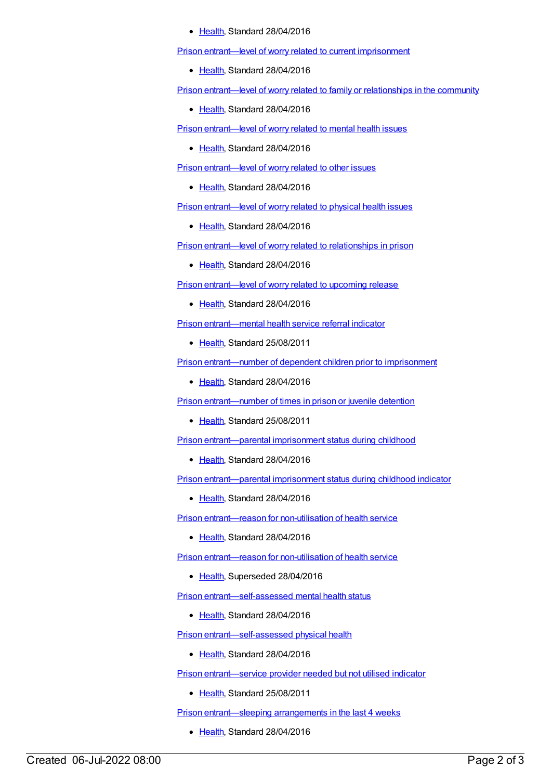## [Health](https://meteor.aihw.gov.au/RegistrationAuthority/12), Standard 28/04/2016

Prison [entrant—level](https://meteor.aihw.gov.au/content/618046) of worry related to current imprisonment

• [Health](https://meteor.aihw.gov.au/RegistrationAuthority/12), Standard 28/04/2016

Prison [entrant—level](https://meteor.aihw.gov.au/content/618060) of worry related to family or relationships in the community

● [Health](https://meteor.aihw.gov.au/RegistrationAuthority/12), Standard 28/04/2016

Prison [entrant—level](https://meteor.aihw.gov.au/content/618206) of worry related to mental health issues

• [Health](https://meteor.aihw.gov.au/RegistrationAuthority/12), Standard 28/04/2016

Prison [entrant—level](https://meteor.aihw.gov.au/content/618220) of worry related to other issues

• [Health](https://meteor.aihw.gov.au/RegistrationAuthority/12), Standard 28/04/2016

Prison [entrant—level](https://meteor.aihw.gov.au/content/618212) of worry related to physical health issues

[Health](https://meteor.aihw.gov.au/RegistrationAuthority/12), Standard 28/04/2016

Prison [entrant—level](https://meteor.aihw.gov.au/content/618202) of worry related to relationships in prison

• [Health](https://meteor.aihw.gov.au/RegistrationAuthority/12), Standard 28/04/2016

Prison [entrant—level](https://meteor.aihw.gov.au/content/618055) of worry related to upcoming release

• [Health](https://meteor.aihw.gov.au/RegistrationAuthority/12), Standard 28/04/2016

Prison [entrant—mental](https://meteor.aihw.gov.au/content/365458) health service referral indicator

[Health](https://meteor.aihw.gov.au/RegistrationAuthority/12), Standard 25/08/2011

Prison [entrant—number](https://meteor.aihw.gov.au/content/482420) of dependent children prior to imprisonment

[Health](https://meteor.aihw.gov.au/RegistrationAuthority/12), Standard 28/04/2016

Prison [entrant—number](https://meteor.aihw.gov.au/content/399008) of times in prison or juvenile detention

• [Health](https://meteor.aihw.gov.au/RegistrationAuthority/12), Standard 25/08/2011

Prison [entrant—parental](https://meteor.aihw.gov.au/content/482446) imprisonment status during childhood

• [Health](https://meteor.aihw.gov.au/RegistrationAuthority/12), Standard 28/04/2016

Prison [entrant—parental](https://meteor.aihw.gov.au/content/617945) imprisonment status during childhood indicator

[Health](https://meteor.aihw.gov.au/RegistrationAuthority/12), Standard 28/04/2016

Prison [entrant—reason](https://meteor.aihw.gov.au/content/627160) for non-utilisation of health service

[Health](https://meteor.aihw.gov.au/RegistrationAuthority/12), Standard 28/04/2016

Prison [entrant—reason](https://meteor.aihw.gov.au/content/376300) for non-utilisation of health service

• [Health](https://meteor.aihw.gov.au/RegistrationAuthority/12), Superseded 28/04/2016

Prison [entrant—self-assessed](https://meteor.aihw.gov.au/content/618224) mental health status

• [Health](https://meteor.aihw.gov.au/RegistrationAuthority/12), Standard 28/04/2016

Prison [entrant—self-assessed](https://meteor.aihw.gov.au/content/618228) physical health

[Health](https://meteor.aihw.gov.au/RegistrationAuthority/12), Standard 28/04/2016

Prison [entrant—service](https://meteor.aihw.gov.au/content/414713) provider needed but not utilised indicator

• [Health](https://meteor.aihw.gov.au/RegistrationAuthority/12), Standard 25/08/2011

Prison [entrant—sleeping](https://meteor.aihw.gov.au/content/482318) arrangements in the last 4 weeks

• [Health](https://meteor.aihw.gov.au/RegistrationAuthority/12), Standard 28/04/2016